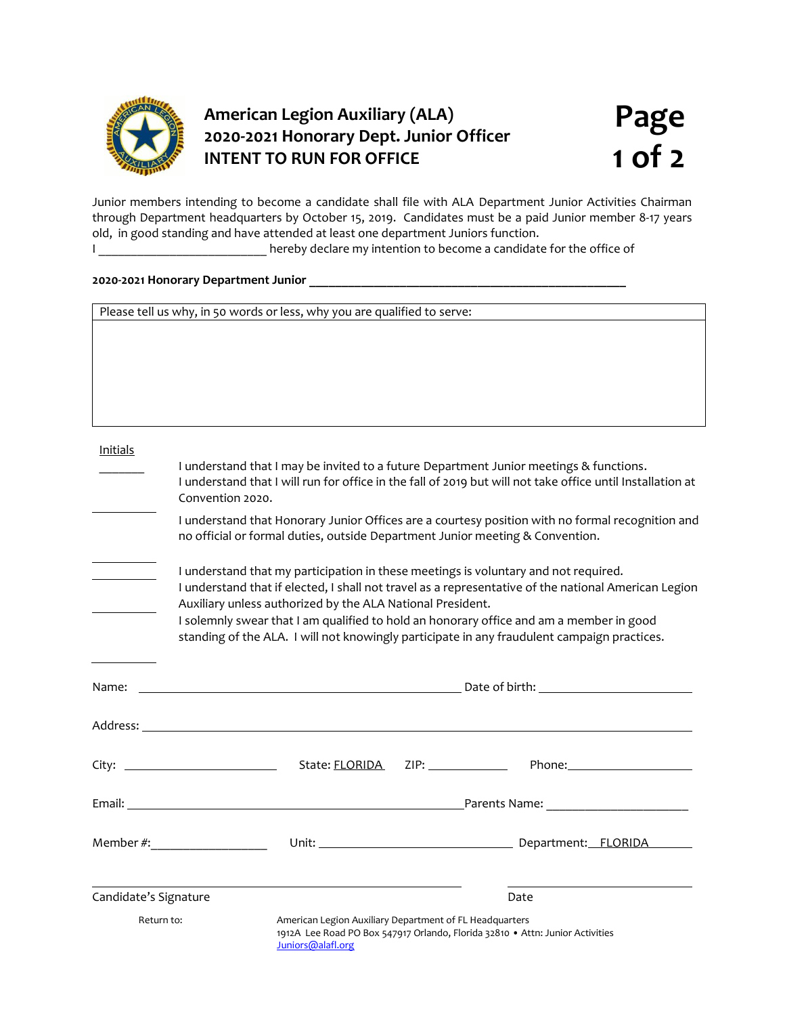

## **American Legion Auxiliary (ALA) 2020-2021 Honorary Dept. Junior Officer INTENT TO RUN FOR OFFICE**

Junior members intending to become a candidate shall file with ALA Department Junior Activities Chairman through Department headquarters by October 15, 2019. Candidates must be a paid Junior member 8-17 years old, in good standing and have attended at least one department Juniors function.

I \_\_\_\_\_\_\_\_\_\_\_\_\_\_\_\_\_\_\_\_\_\_\_\_\_\_\_\_\_\_ hereby declare my intention to become a candidate for the office of

## **2020-2021 Honorary Department Junior \_\_\_\_\_\_\_\_\_\_\_\_\_\_\_\_\_\_\_\_\_\_\_\_\_\_\_\_\_\_\_\_\_\_\_\_\_\_\_\_\_\_\_\_\_\_\_\_\_**

|                       |                               | Please tell us why, in 50 words or less, why you are qualified to serve:                                                                                                                                                                                                                                                                                                                                                                            |  |  |  |
|-----------------------|-------------------------------|-----------------------------------------------------------------------------------------------------------------------------------------------------------------------------------------------------------------------------------------------------------------------------------------------------------------------------------------------------------------------------------------------------------------------------------------------------|--|--|--|
|                       |                               |                                                                                                                                                                                                                                                                                                                                                                                                                                                     |  |  |  |
|                       |                               |                                                                                                                                                                                                                                                                                                                                                                                                                                                     |  |  |  |
| Initials              |                               |                                                                                                                                                                                                                                                                                                                                                                                                                                                     |  |  |  |
|                       | Convention 2020.              | I understand that I may be invited to a future Department Junior meetings & functions.<br>I understand that I will run for office in the fall of 2019 but will not take office until Installation at                                                                                                                                                                                                                                                |  |  |  |
|                       |                               | I understand that Honorary Junior Offices are a courtesy position with no formal recognition and<br>no official or formal duties, outside Department Junior meeting & Convention.                                                                                                                                                                                                                                                                   |  |  |  |
|                       |                               | I understand that my participation in these meetings is voluntary and not required.<br>I understand that if elected, I shall not travel as a representative of the national American Legion<br>Auxiliary unless authorized by the ALA National President.<br>I solemnly swear that I am qualified to hold an honorary office and am a member in good<br>standing of the ALA. I will not knowingly participate in any fraudulent campaign practices. |  |  |  |
| Name:                 |                               |                                                                                                                                                                                                                                                                                                                                                                                                                                                     |  |  |  |
|                       |                               |                                                                                                                                                                                                                                                                                                                                                                                                                                                     |  |  |  |
|                       |                               |                                                                                                                                                                                                                                                                                                                                                                                                                                                     |  |  |  |
|                       |                               | Email: <u>Charles Communications and the Parents Name:</u> Parents Name:                                                                                                                                                                                                                                                                                                                                                                            |  |  |  |
|                       | Member #:____________________ |                                                                                                                                                                                                                                                                                                                                                                                                                                                     |  |  |  |
| Candidate's Signature |                               | Date                                                                                                                                                                                                                                                                                                                                                                                                                                                |  |  |  |
| Return to:            |                               | American Legion Auxiliary Department of FL Headquarters<br>1912A Lee Road PO Box 547917 Orlando, Florida 32810 . Attn: Junior Activities<br>Juniors@alafl.org                                                                                                                                                                                                                                                                                       |  |  |  |